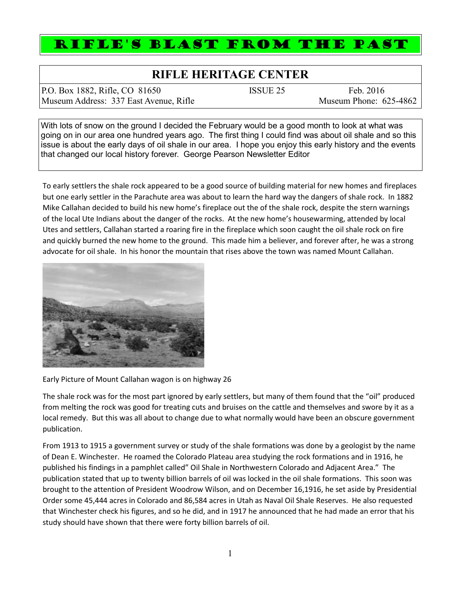## RIFLE'S BLAST FROM THE PAST

## **RIFLE HERITAGE CENTER**

P.O. Box 1882, Rifle, CO 81650 ISSUE 25 Feb. 2016 Museum Address: 337 East Avenue, Rifle Museum Phone: 625-4862

With lots of snow on the ground I decided the February would be a good month to look at what was going on in our area one hundred years ago. The first thing I could find was about oil shale and so this issue is about the early days of oil shale in our area. I hope you enjoy this early history and the events that changed our local history forever. George Pearson Newsletter Editor

To early settlers the shale rock appeared to be a good source of building material for new homes and fireplaces but one early settler in the Parachute area was about to learn the hard way the dangers of shale rock. In 1882 Mike Callahan decided to build his new home's fireplace out the of the shale rock, despite the stern warnings of the local Ute Indians about the danger of the rocks. At the new home's housewarming, attended by local Utes and settlers, Callahan started a roaring fire in the fireplace which soon caught the oil shale rock on fire and quickly burned the new home to the ground. This made him a believer, and forever after, he was a strong advocate for oil shale. In his honor the mountain that rises above the town was named Mount Callahan.



Early Picture of Mount Callahan wagon is on highway 26

The shale rock was for the most part ignored by early settlers, but many of them found that the "oil" produced from melting the rock was good for treating cuts and bruises on the cattle and themselves and swore by it as a local remedy. But this was all about to change due to what normally would have been an obscure government publication.

From 1913 to 1915 a government survey or study of the shale formations was done by a geologist by the name of Dean E. Winchester. He roamed the Colorado Plateau area studying the rock formations and in 1916, he published his findings in a pamphlet called" Oil Shale in Northwestern Colorado and Adjacent Area." The publication stated that up to twenty billion barrels of oil was locked in the oil shale formations. This soon was brought to the attention of President Woodrow Wilson, and on December 16,1916, he set aside by Presidential Order some 45,444 acres in Colorado and 86,584 acres in Utah as Naval Oil Shale Reserves. He also requested that Winchester check his figures, and so he did, and in 1917 he announced that he had made an error that his study should have shown that there were forty billion barrels of oil.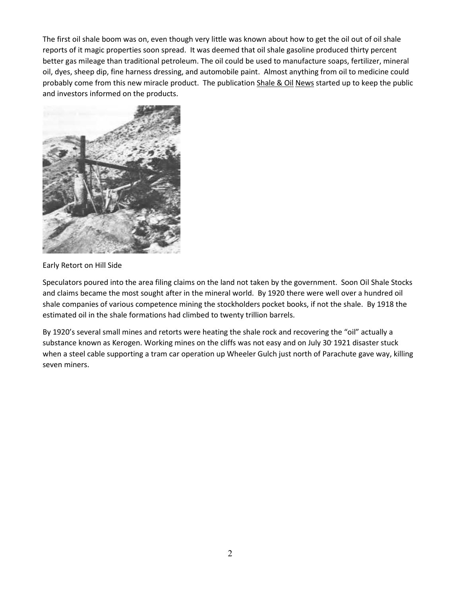The first oil shale boom was on, even though very little was known about how to get the oil out of oil shale reports of it magic properties soon spread. It was deemed that oil shale gasoline produced thirty percent better gas mileage than traditional petroleum. The oil could be used to manufacture soaps, fertilizer, mineral oil, dyes, sheep dip, fine harness dressing, and automobile paint. Almost anything from oil to medicine could probably come from this new miracle product. The publication Shale & Oil News started up to keep the public and investors informed on the products.



Early Retort on Hill Side

Speculators poured into the area filing claims on the land not taken by the government. Soon Oil Shale Stocks and claims became the most sought after in the mineral world. By 1920 there were well over a hundred oil shale companies of various competence mining the stockholders pocket books, if not the shale. By 1918 the estimated oil in the shale formations had climbed to twenty trillion barrels.

By 1920's several small mines and retorts were heating the shale rock and recovering the "oil" actually a substance known as Kerogen. Working mines on the cliffs was not easy and on July 30' 1921 disaster stuck when a steel cable supporting a tram car operation up Wheeler Gulch just north of Parachute gave way, killing seven miners.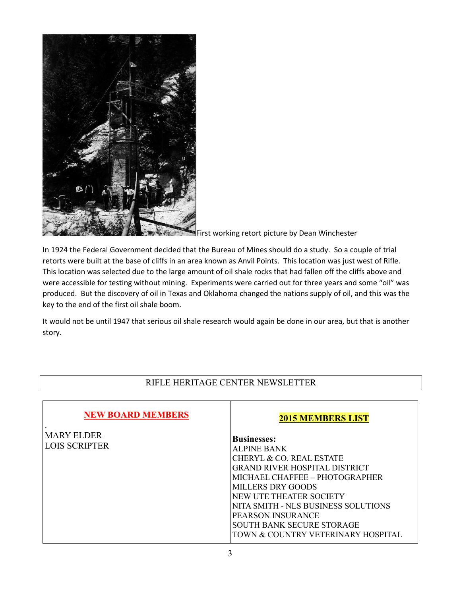

First working retort picture by Dean Winchester

In 1924 the Federal Government decided that the Bureau of Mines should do a study. So a couple of trial retorts were built at the base of cliffs in an area known as Anvil Points. This location was just west of Rifle. This location was selected due to the large amount of oil shale rocks that had fallen off the cliffs above and were accessible for testing without mining. Experiments were carried out for three years and some "oil" was produced. But the discovery of oil in Texas and Oklahoma changed the nations supply of oil, and this was the key to the end of the first oil shale boom.

It would not be until 1947 that serious oil shale research would again be done in our area, but that is another story.

## RIFLE HERITAGE CENTER NEWSLETTER

| <b>NEW BOARD MEMBERS</b> | <b>2015 MEMBERS LIST</b>             |
|--------------------------|--------------------------------------|
| <b>MARY ELDER</b>        | <b>Businesses:</b>                   |
| <b>LOIS SCRIPTER</b>     | <b>ALPINE BANK</b>                   |
|                          | CHERYL & CO. REAL ESTATE             |
|                          | <b>GRAND RIVER HOSPITAL DISTRICT</b> |
|                          | MICHAEL CHAFFEE - PHOTOGRAPHER       |
|                          | <b>MILLERS DRY GOODS</b>             |
|                          | NEW UTE THEATER SOCIETY              |
|                          | NITA SMITH - NLS BUSINESS SOLUTIONS  |
|                          | <b>PEARSON INSURANCE</b>             |
|                          | <b>SOUTH BANK SECURE STORAGE</b>     |
|                          | TOWN & COUNTRY VETERINARY HOSPITAL   |